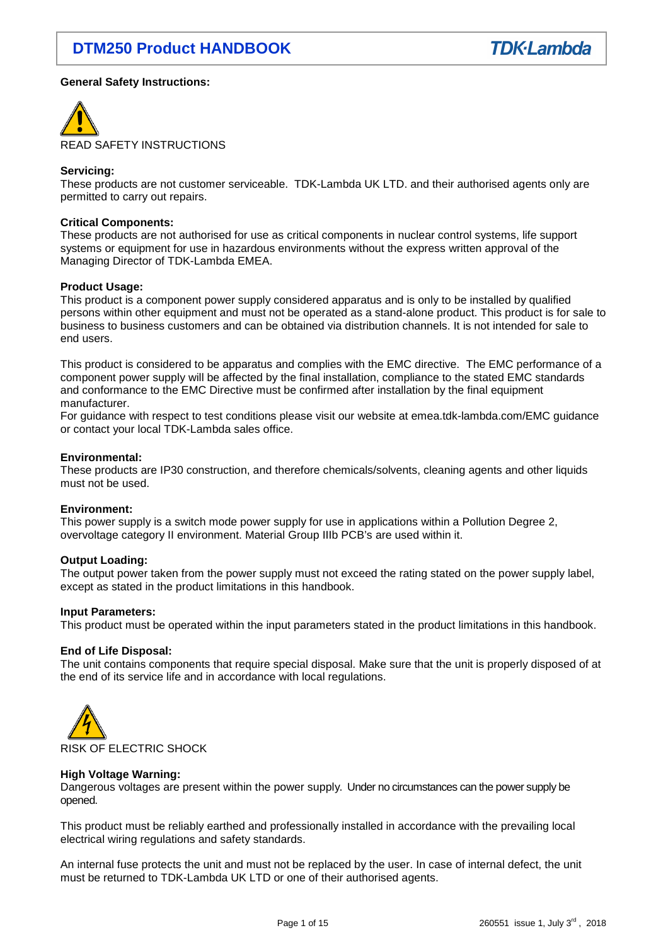## **General Safety Instructions:**



#### **Servicing:**

These products are not customer serviceable. TDK-Lambda UK LTD. and their authorised agents only are permitted to carry out repairs.

#### **Critical Components:**

These products are not authorised for use as critical components in nuclear control systems, life support systems or equipment for use in hazardous environments without the express written approval of the Managing Director of TDK-Lambda EMEA.

#### **Product Usage:**

This product is a component power supply considered apparatus and is only to be installed by qualified persons within other equipment and must not be operated as a stand-alone product. This product is for sale to business to business customers and can be obtained via distribution channels. It is not intended for sale to end users.

This product is considered to be apparatus and complies with the EMC directive. The EMC performance of a component power supply will be affected by the final installation, compliance to the stated EMC standards and conformance to the EMC Directive must be confirmed after installation by the final equipment manufacturer.

For guidance with respect to test conditions please visit our website at emea.tdk-lambda.com/EMC guidance or contact your local TDK-Lambda sales office.

#### **Environmental:**

These products are IP30 construction, and therefore chemicals/solvents, cleaning agents and other liquids must not be used.

#### **Environment:**

This power supply is a switch mode power supply for use in applications within a Pollution Degree 2, overvoltage category II environment. Material Group IIIb PCB's are used within it.

#### **Output Loading:**

The output power taken from the power supply must not exceed the rating stated on the power supply label, except as stated in the product limitations in this handbook.

#### **Input Parameters:**

This product must be operated within the input parameters stated in the product limitations in this handbook.

#### **End of Life Disposal:**

The unit contains components that require special disposal. Make sure that the unit is properly disposed of at the end of its service life and in accordance with local regulations.



#### **High Voltage Warning:**

Dangerous voltages are present within the power supply. Under no circumstances can the power supply be opened.

This product must be reliably earthed and professionally installed in accordance with the prevailing local electrical wiring regulations and safety standards.

An internal fuse protects the unit and must not be replaced by the user. In case of internal defect, the unit must be returned to TDK-Lambda UK LTD or one of their authorised agents.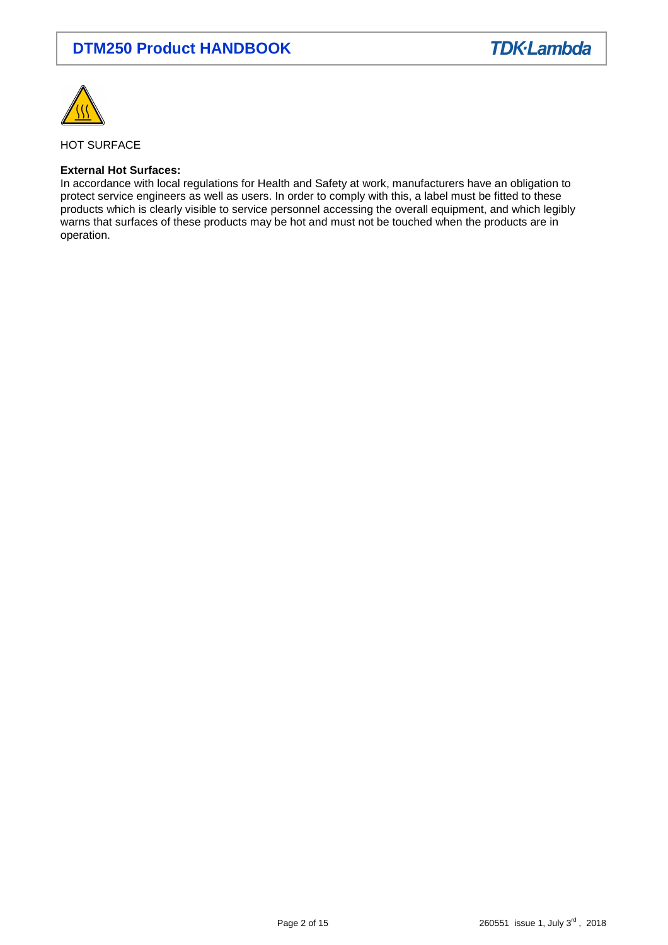

HOT SURFACE

## **External Hot Surfaces:**

In accordance with local regulations for Health and Safety at work, manufacturers have an obligation to protect service engineers as well as users. In order to comply with this, a label must be fitted to these products which is clearly visible to service personnel accessing the overall equipment, and which legibly warns that surfaces of these products may be hot and must not be touched when the products are in operation.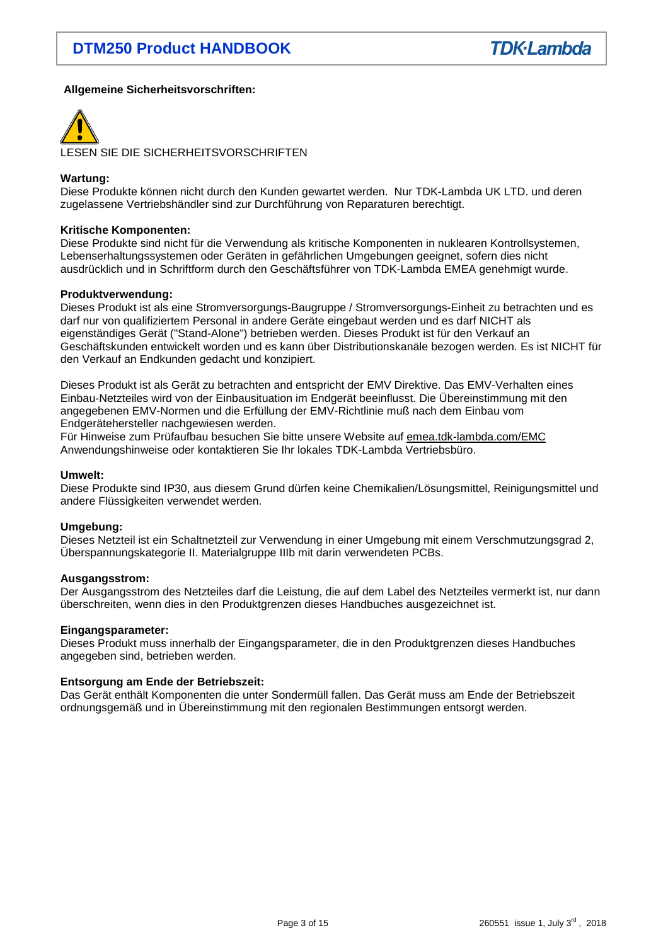## **Allgemeine Sicherheitsvorschriften:**



LESEN SIE DIE SICHERHEITSVORSCHRIFTEN

## **Wartung:**

Diese Produkte können nicht durch den Kunden gewartet werden. Nur TDK-Lambda UK LTD. und deren zugelassene Vertriebshändler sind zur Durchführung von Reparaturen berechtigt.

## **Kritische Komponenten:**

Diese Produkte sind nicht für die Verwendung als kritische Komponenten in nuklearen Kontrollsystemen, Lebenserhaltungssystemen oder Geräten in gefährlichen Umgebungen geeignet, sofern dies nicht ausdrücklich und in Schriftform durch den Geschäftsführer von TDK-Lambda EMEA genehmigt wurde.

#### **Produktverwendung:**

Dieses Produkt ist als eine Stromversorgungs-Baugruppe / Stromversorgungs-Einheit zu betrachten und es darf nur von qualifiziertem Personal in andere Geräte eingebaut werden und es darf NICHT als eigenständiges Gerät ("Stand-Alone") betrieben werden. Dieses Produkt ist für den Verkauf an Geschäftskunden entwickelt worden und es kann über Distributionskanäle bezogen werden. Es ist NICHT für den Verkauf an Endkunden gedacht und konzipiert.

Dieses Produkt ist als Gerät zu betrachten and entspricht der EMV Direktive. Das EMV-Verhalten eines Einbau-Netzteiles wird von der Einbausituation im Endgerät beeinflusst. Die Übereinstimmung mit den angegebenen EMV-Normen und die Erfüllung der EMV-Richtlinie muß nach dem Einbau vom Endgerätehersteller nachgewiesen werden.

Für Hinweise zum Prüfaufbau besuchen Sie bitte unsere Website auf emea.tdk-lambda.com/EMC Anwendungshinweise oder kontaktieren Sie Ihr lokales TDK-Lambda Vertriebsbüro.

## **Umwelt:**

Diese Produkte sind IP30, aus diesem Grund dürfen keine Chemikalien/Lösungsmittel, Reinigungsmittel und andere Flüssigkeiten verwendet werden.

## **Umgebung:**

Dieses Netzteil ist ein Schaltnetzteil zur Verwendung in einer Umgebung mit einem Verschmutzungsgrad 2, Überspannungskategorie II. Materialgruppe IIIb mit darin verwendeten PCBs.

#### **Ausgangsstrom:**

Der Ausgangsstrom des Netzteiles darf die Leistung, die auf dem Label des Netzteiles vermerkt ist, nur dann überschreiten, wenn dies in den Produktgrenzen dieses Handbuches ausgezeichnet ist.

#### **Eingangsparameter:**

Dieses Produkt muss innerhalb der Eingangsparameter, die in den Produktgrenzen dieses Handbuches angegeben sind, betrieben werden.

## **Entsorgung am Ende der Betriebszeit:**

Das Gerät enthält Komponenten die unter Sondermüll fallen. Das Gerät muss am Ende der Betriebszeit ordnungsgemäß und in Übereinstimmung mit den regionalen Bestimmungen entsorgt werden.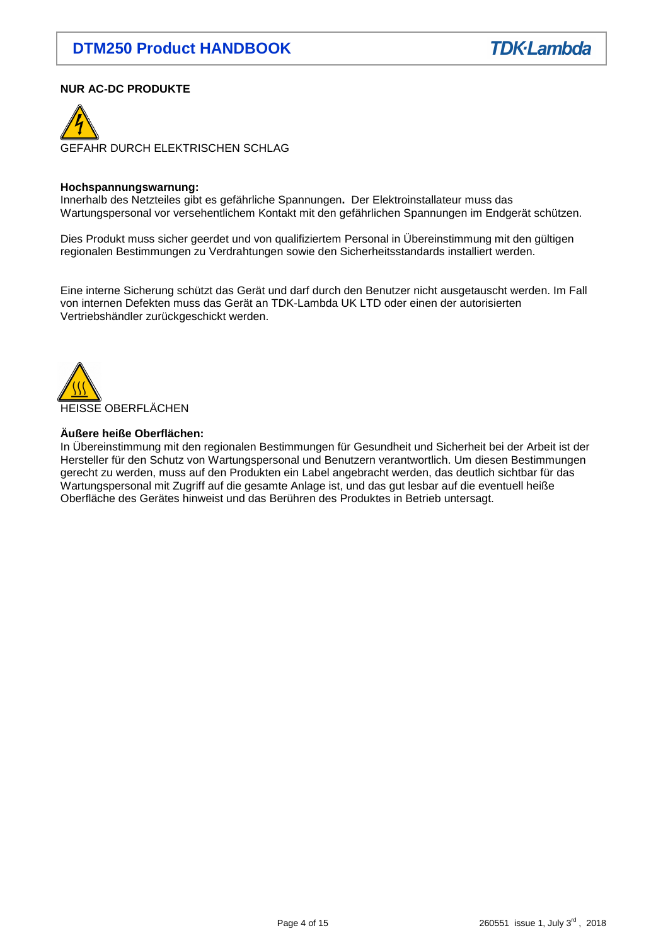# **NUR AC-DC PRODUKTE**



#### **Hochspannungswarnung:**

Innerhalb des Netzteiles gibt es gefährliche Spannungen**.** Der Elektroinstallateur muss das Wartungspersonal vor versehentlichem Kontakt mit den gefährlichen Spannungen im Endgerät schützen.

Dies Produkt muss sicher geerdet und von qualifiziertem Personal in Übereinstimmung mit den gültigen regionalen Bestimmungen zu Verdrahtungen sowie den Sicherheitsstandards installiert werden.

Eine interne Sicherung schützt das Gerät und darf durch den Benutzer nicht ausgetauscht werden. Im Fall von internen Defekten muss das Gerät an TDK-Lambda UK LTD oder einen der autorisierten Vertriebshändler zurückgeschickt werden.



#### **Äußere heiße Oberflächen:**

In Übereinstimmung mit den regionalen Bestimmungen für Gesundheit und Sicherheit bei der Arbeit ist der Hersteller für den Schutz von Wartungspersonal und Benutzern verantwortlich. Um diesen Bestimmungen gerecht zu werden, muss auf den Produkten ein Label angebracht werden, das deutlich sichtbar für das Wartungspersonal mit Zugriff auf die gesamte Anlage ist, und das gut lesbar auf die eventuell heiße Oberfläche des Gerätes hinweist und das Berühren des Produktes in Betrieb untersagt.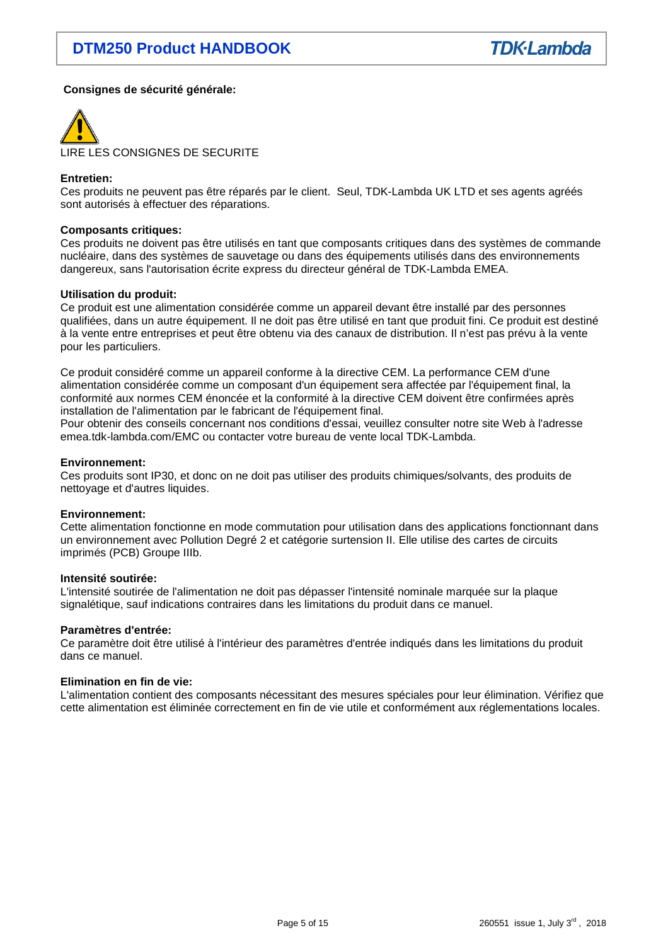## **Consignes de sécurité générale:**



LIRE LES CONSIGNES DE SECURITE

## **Entretien:**

Ces produits ne peuvent pas être réparés par le client. Seul, TDK-Lambda UK LTD et ses agents agréés sont autorisés à effectuer des réparations.

## **Composants critiques:**

Ces produits ne doivent pas être utilisés en tant que composants critiques dans des systèmes de commande nucléaire, dans des systèmes de sauvetage ou dans des équipements utilisés dans des environnements dangereux, sans l'autorisation écrite express du directeur général de TDK-Lambda EMEA.

#### **Utilisation du produit:**

Ce produit est une alimentation considérée comme un appareil devant être installé par des personnes qualifiées, dans un autre équipement. Il ne doit pas être utilisé en tant que produit fini. Ce produit est destiné à la vente entre entreprises et peut être obtenu via des canaux de distribution. Il n'est pas prévu à la vente pour les particuliers.

Ce produit considéré comme un appareil conforme à la directive CEM. La performance CEM d'une alimentation considérée comme un composant d'un équipement sera affectée par l'équipement final, la conformité aux normes CEM énoncée et la conformité à la directive CEM doivent être confirmées après installation de l'alimentation par le fabricant de l'équipement final.

Pour obtenir des conseils concernant nos conditions d'essai, veuillez consulter notre site Web à l'adresse emea.tdk-lambda.com/EMC ou contacter votre bureau de vente local TDK-Lambda.

## **Environnement:**

Ces produits sont IP30, et donc on ne doit pas utiliser des produits chimiques/solvants, des produits de nettoyage et d'autres liquides.

## **Environnement:**

Cette alimentation fonctionne en mode commutation pour utilisation dans des applications fonctionnant dans un environnement avec Pollution Degré 2 et catégorie surtension II. Elle utilise des cartes de circuits imprimés (PCB) Groupe IIIb.

## **Intensité soutirée:**

L'intensité soutirée de l'alimentation ne doit pas dépasser l'intensité nominale marquée sur la plaque signalétique, sauf indications contraires dans les limitations du produit dans ce manuel.

#### **Paramètres d'entrée:**

Ce paramètre doit être utilisé à l'intérieur des paramètres d'entrée indiqués dans les limitations du produit dans ce manuel.

## **Elimination en fin de vie:**

L'alimentation contient des composants nécessitant des mesures spéciales pour leur élimination. Vérifiez que cette alimentation est éliminée correctement en fin de vie utile et conformément aux réglementations locales.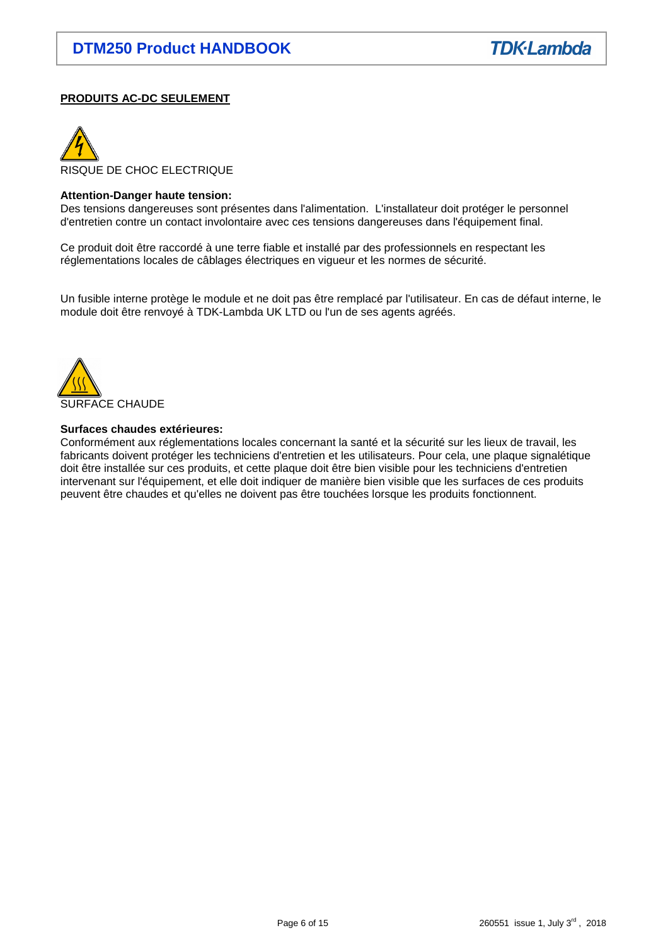## **PRODUITS AC-DC SEULEMENT**



## **Attention-Danger haute tension:**

Des tensions dangereuses sont présentes dans l'alimentation. L'installateur doit protéger le personnel d'entretien contre un contact involontaire avec ces tensions dangereuses dans l'équipement final.

Ce produit doit être raccordé à une terre fiable et installé par des professionnels en respectant les réglementations locales de câblages électriques en vigueur et les normes de sécurité.

Un fusible interne protège le module et ne doit pas être remplacé par l'utilisateur. En cas de défaut interne, le module doit être renvoyé à TDK-Lambda UK LTD ou l'un de ses agents agréés.



## **Surfaces chaudes extérieures:**

Conformément aux réglementations locales concernant la santé et la sécurité sur les lieux de travail, les fabricants doivent protéger les techniciens d'entretien et les utilisateurs. Pour cela, une plaque signalétique doit être installée sur ces produits, et cette plaque doit être bien visible pour les techniciens d'entretien intervenant sur l'équipement, et elle doit indiquer de manière bien visible que les surfaces de ces produits peuvent être chaudes et qu'elles ne doivent pas être touchées lorsque les produits fonctionnent.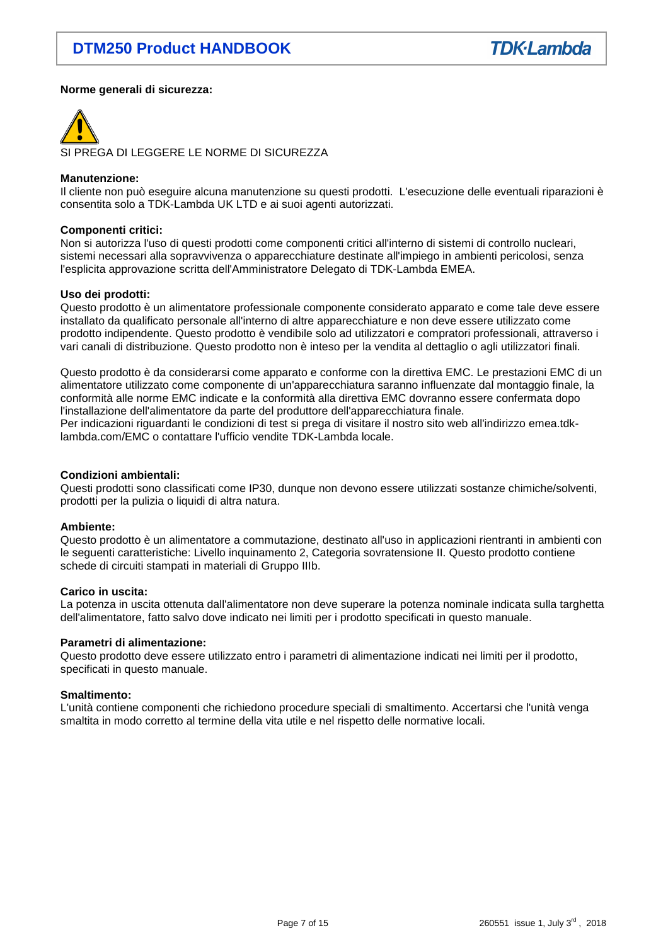## **Norme generali di sicurezza:**



SI PREGA DI LEGGERE LE NORME DI SICUREZZA

#### **Manutenzione:**

Il cliente non può eseguire alcuna manutenzione su questi prodotti. L'esecuzione delle eventuali riparazioni è consentita solo a TDK-Lambda UK LTD e ai suoi agenti autorizzati.

## **Componenti critici:**

Non si autorizza l'uso di questi prodotti come componenti critici all'interno di sistemi di controllo nucleari, sistemi necessari alla sopravvivenza o apparecchiature destinate all'impiego in ambienti pericolosi, senza l'esplicita approvazione scritta dell'Amministratore Delegato di TDK-Lambda EMEA.

#### **Uso dei prodotti:**

Questo prodotto è un alimentatore professionale componente considerato apparato e come tale deve essere installato da qualificato personale all'interno di altre apparecchiature e non deve essere utilizzato come prodotto indipendente. Questo prodotto è vendibile solo ad utilizzatori e compratori professionali, attraverso i vari canali di distribuzione. Questo prodotto non è inteso per la vendita al dettaglio o agli utilizzatori finali.

Questo prodotto è da considerarsi come apparato e conforme con la direttiva EMC. Le prestazioni EMC di un alimentatore utilizzato come componente di un'apparecchiatura saranno influenzate dal montaggio finale, la conformità alle norme EMC indicate e la conformità alla direttiva EMC dovranno essere confermata dopo l'installazione dell'alimentatore da parte del produttore dell'apparecchiatura finale. Per indicazioni riguardanti le condizioni di test si prega di visitare il nostro sito web all'indirizzo emea.tdk-

lambda.com/EMC o contattare l'ufficio vendite TDK-Lambda locale.

#### **Condizioni ambientali:**

Questi prodotti sono classificati come IP30, dunque non devono essere utilizzati sostanze chimiche/solventi, prodotti per la pulizia o liquidi di altra natura.

## **Ambiente:**

Questo prodotto è un alimentatore a commutazione, destinato all'uso in applicazioni rientranti in ambienti con le seguenti caratteristiche: Livello inquinamento 2, Categoria sovratensione II. Questo prodotto contiene schede di circuiti stampati in materiali di Gruppo IIIb.

#### **Carico in uscita:**

La potenza in uscita ottenuta dall'alimentatore non deve superare la potenza nominale indicata sulla targhetta dell'alimentatore, fatto salvo dove indicato nei limiti per i prodotto specificati in questo manuale.

#### **Parametri di alimentazione:**

Questo prodotto deve essere utilizzato entro i parametri di alimentazione indicati nei limiti per il prodotto, specificati in questo manuale.

#### **Smaltimento:**

L'unità contiene componenti che richiedono procedure speciali di smaltimento. Accertarsi che l'unità venga smaltita in modo corretto al termine della vita utile e nel rispetto delle normative locali.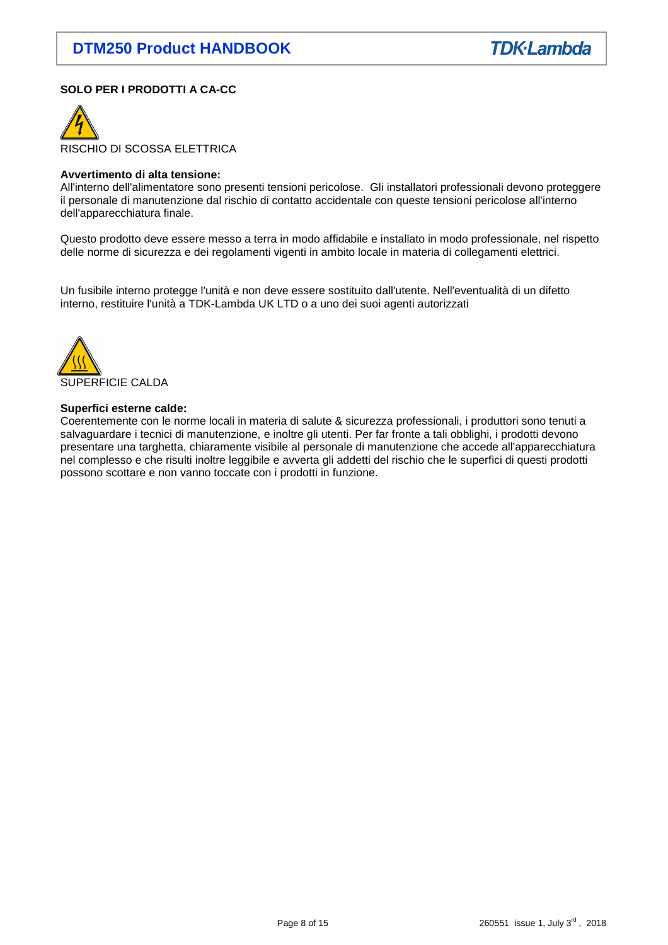# **SOLO PER I PRODOTTI A CA-CC**



#### **Avvertimento di alta tensione:**

All'interno dell'alimentatore sono presenti tensioni pericolose. Gli installatori professionali devono proteggere il personale di manutenzione dal rischio di contatto accidentale con queste tensioni pericolose all'interno dell'apparecchiatura finale.

Questo prodotto deve essere messo a terra in modo affidabile e installato in modo professionale, nel rispetto delle norme di sicurezza e dei regolamenti vigenti in ambito locale in materia di collegamenti elettrici.

Un fusibile interno protegge l'unità e non deve essere sostituito dall'utente. Nell'eventualità di un difetto interno, restituire l'unità a TDK-Lambda UK LTD o a uno dei suoi agenti autorizzati



#### **Superfici esterne calde:**

Coerentemente con le norme locali in materia di salute & sicurezza professionali, i produttori sono tenuti a salvaguardare i tecnici di manutenzione, e inoltre gli utenti. Per far fronte a tali obblighi, i prodotti devono presentare una targhetta, chiaramente visibile al personale di manutenzione che accede all'apparecchiatura nel complesso e che risulti inoltre leggibile e avverta gli addetti del rischio che le superfici di questi prodotti possono scottare e non vanno toccate con i prodotti in funzione.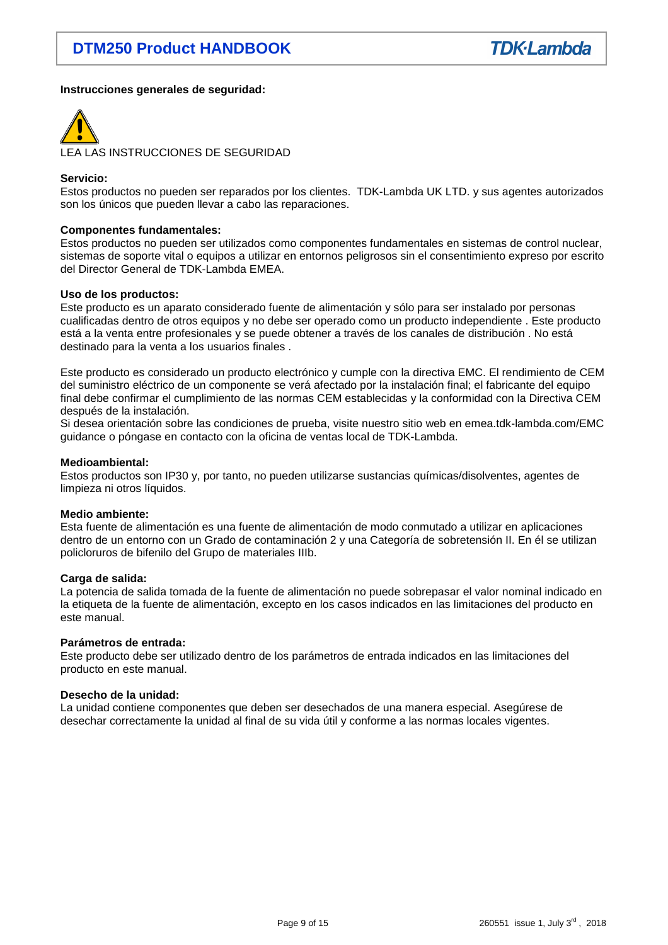## **Instrucciones generales de seguridad:**



LEA LAS INSTRUCCIONES DE SEGURIDAD

## **Servicio:**

Estos productos no pueden ser reparados por los clientes. TDK-Lambda UK LTD. y sus agentes autorizados son los únicos que pueden llevar a cabo las reparaciones.

## **Componentes fundamentales:**

Estos productos no pueden ser utilizados como componentes fundamentales en sistemas de control nuclear, sistemas de soporte vital o equipos a utilizar en entornos peligrosos sin el consentimiento expreso por escrito del Director General de TDK-Lambda EMEA.

#### **Uso de los productos:**

Este producto es un aparato considerado fuente de alimentación y sólo para ser instalado por personas cualificadas dentro de otros equipos y no debe ser operado como un producto independiente . Este producto está a la venta entre profesionales y se puede obtener a través de los canales de distribución . No está destinado para la venta a los usuarios finales .

Este producto es considerado un producto electrónico y cumple con la directiva EMC. El rendimiento de CEM del suministro eléctrico de un componente se verá afectado por la instalación final; el fabricante del equipo final debe confirmar el cumplimiento de las normas CEM establecidas y la conformidad con la Directiva CEM después de la instalación.

Si desea orientación sobre las condiciones de prueba, visite nuestro sitio web en emea.tdk-lambda.com/EMC guidance o póngase en contacto con la oficina de ventas local de TDK-Lambda.

## **Medioambiental:**

Estos productos son IP30 y, por tanto, no pueden utilizarse sustancias químicas/disolventes, agentes de limpieza ni otros líquidos.

## **Medio ambiente:**

Esta fuente de alimentación es una fuente de alimentación de modo conmutado a utilizar en aplicaciones dentro de un entorno con un Grado de contaminación 2 y una Categoría de sobretensión II. En él se utilizan policloruros de bifenilo del Grupo de materiales IIIb.

## **Carga de salida:**

La potencia de salida tomada de la fuente de alimentación no puede sobrepasar el valor nominal indicado en la etiqueta de la fuente de alimentación, excepto en los casos indicados en las limitaciones del producto en este manual.

## **Parámetros de entrada:**

Este producto debe ser utilizado dentro de los parámetros de entrada indicados en las limitaciones del producto en este manual.

## **Desecho de la unidad:**

La unidad contiene componentes que deben ser desechados de una manera especial. Asegúrese de desechar correctamente la unidad al final de su vida útil y conforme a las normas locales vigentes.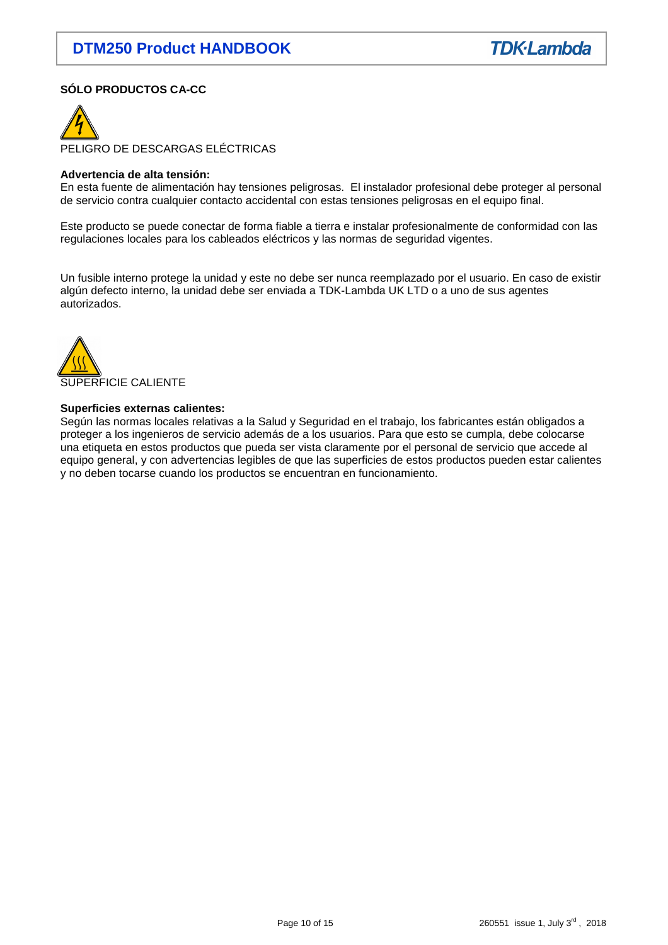# **SÓLO PRODUCTOS CA-CC**



PELIGRO DE DESCARGAS ELÉCTRICAS

#### **Advertencia de alta tensión:**

En esta fuente de alimentación hay tensiones peligrosas. El instalador profesional debe proteger al personal de servicio contra cualquier contacto accidental con estas tensiones peligrosas en el equipo final.

Este producto se puede conectar de forma fiable a tierra e instalar profesionalmente de conformidad con las regulaciones locales para los cableados eléctricos y las normas de seguridad vigentes.

Un fusible interno protege la unidad y este no debe ser nunca reemplazado por el usuario. En caso de existir algún defecto interno, la unidad debe ser enviada a TDK-Lambda UK LTD o a uno de sus agentes autorizados.



## **Superficies externas calientes:**

Según las normas locales relativas a la Salud y Seguridad en el trabajo, los fabricantes están obligados a proteger a los ingenieros de servicio además de a los usuarios. Para que esto se cumpla, debe colocarse una etiqueta en estos productos que pueda ser vista claramente por el personal de servicio que accede al equipo general, y con advertencias legibles de que las superficies de estos productos pueden estar calientes y no deben tocarse cuando los productos se encuentran en funcionamiento.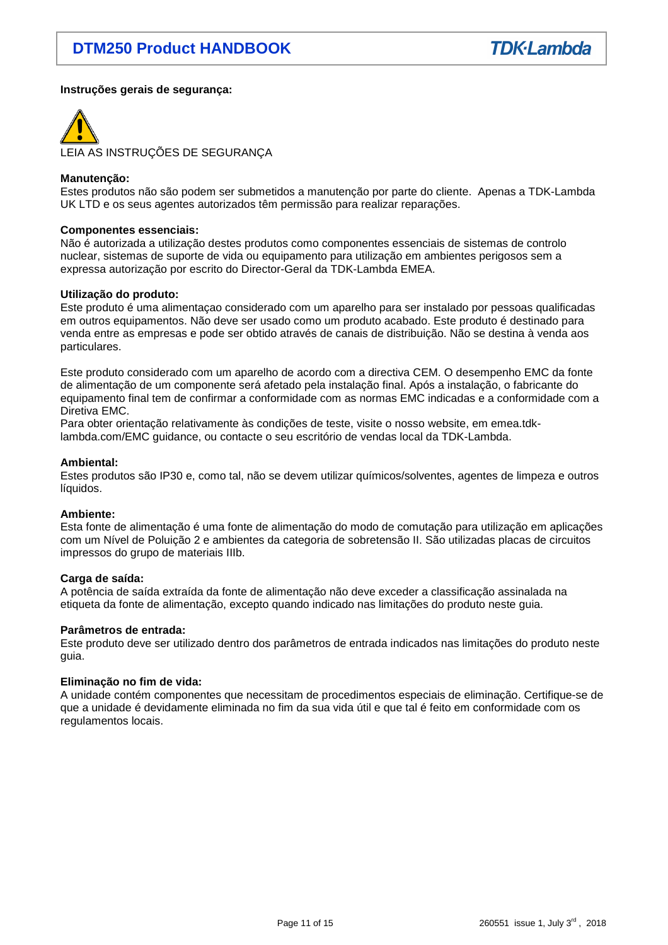## **Instruções gerais de segurança:**



LEIA AS INSTRUÇÕES DE SEGURANÇA

## **Manutenção:**

Estes produtos não são podem ser submetidos a manutenção por parte do cliente. Apenas a TDK-Lambda UK LTD e os seus agentes autorizados têm permissão para realizar reparações.

#### **Componentes essenciais:**

Não é autorizada a utilização destes produtos como componentes essenciais de sistemas de controlo nuclear, sistemas de suporte de vida ou equipamento para utilização em ambientes perigosos sem a expressa autorização por escrito do Director-Geral da TDK-Lambda EMEA.

#### **Utilização do produto:**

Este produto é uma alimentaçao considerado com um aparelho para ser instalado por pessoas qualificadas em outros equipamentos. Não deve ser usado como um produto acabado. Este produto é destinado para venda entre as empresas e pode ser obtido através de canais de distribuição. Não se destina à venda aos particulares.

Este produto considerado com um aparelho de acordo com a directiva CEM. O desempenho EMC da fonte de alimentação de um componente será afetado pela instalação final. Após a instalação, o fabricante do equipamento final tem de confirmar a conformidade com as normas EMC indicadas e a conformidade com a Diretiva EMC.

Para obter orientação relativamente às condições de teste, visite o nosso website, em emea.tdklambda.com/EMC guidance, ou contacte o seu escritório de vendas local da TDK-Lambda.

#### **Ambiental:**

Estes produtos são IP30 e, como tal, não se devem utilizar químicos/solventes, agentes de limpeza e outros líquidos.

## **Ambiente:**

Esta fonte de alimentação é uma fonte de alimentação do modo de comutação para utilização em aplicações com um Nível de Poluição 2 e ambientes da categoria de sobretensão II. São utilizadas placas de circuitos impressos do grupo de materiais IIIb.

## **Carga de saída:**

A potência de saída extraída da fonte de alimentação não deve exceder a classificação assinalada na etiqueta da fonte de alimentação, excepto quando indicado nas limitações do produto neste guia.

#### **Parâmetros de entrada:**

Este produto deve ser utilizado dentro dos parâmetros de entrada indicados nas limitações do produto neste guia.

## **Eliminação no fim de vida:**

A unidade contém componentes que necessitam de procedimentos especiais de eliminação. Certifique-se de que a unidade é devidamente eliminada no fim da sua vida útil e que tal é feito em conformidade com os regulamentos locais.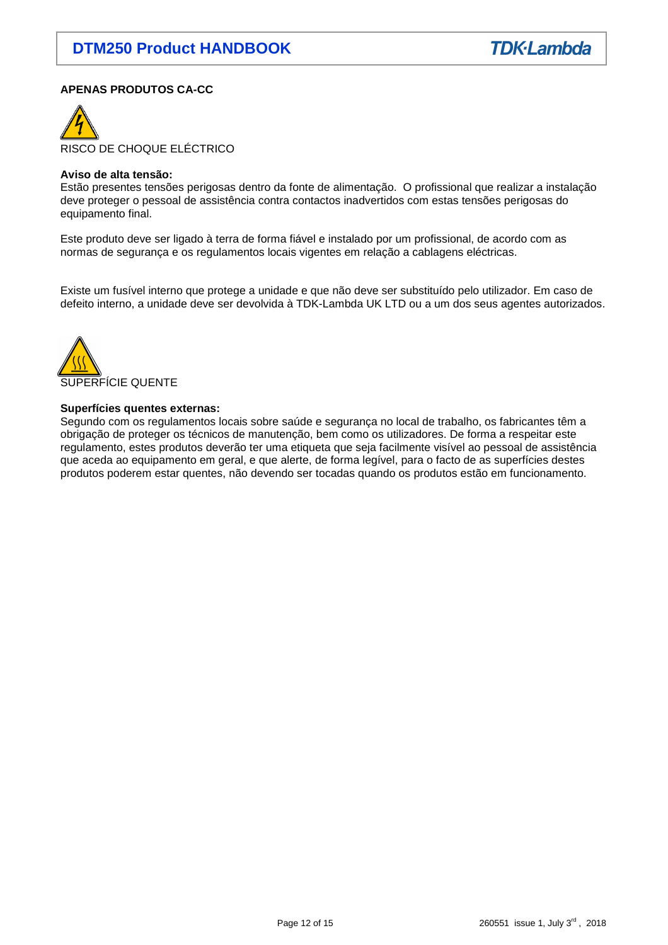## **APENAS PRODUTOS CA-CC**



#### **Aviso de alta tensão:**

Estão presentes tensões perigosas dentro da fonte de alimentação. O profissional que realizar a instalação deve proteger o pessoal de assistência contra contactos inadvertidos com estas tensões perigosas do equipamento final.

Este produto deve ser ligado à terra de forma fiável e instalado por um profissional, de acordo com as normas de segurança e os regulamentos locais vigentes em relação a cablagens eléctricas.

Existe um fusível interno que protege a unidade e que não deve ser substituído pelo utilizador. Em caso de defeito interno, a unidade deve ser devolvida à TDK-Lambda UK LTD ou a um dos seus agentes autorizados.



#### **Superfícies quentes externas:**

Segundo com os regulamentos locais sobre saúde e segurança no local de trabalho, os fabricantes têm a obrigação de proteger os técnicos de manutenção, bem como os utilizadores. De forma a respeitar este regulamento, estes produtos deverão ter uma etiqueta que seja facilmente visível ao pessoal de assistência que aceda ao equipamento em geral, e que alerte, de forma legível, para o facto de as superfícies destes produtos poderem estar quentes, não devendo ser tocadas quando os produtos estão em funcionamento.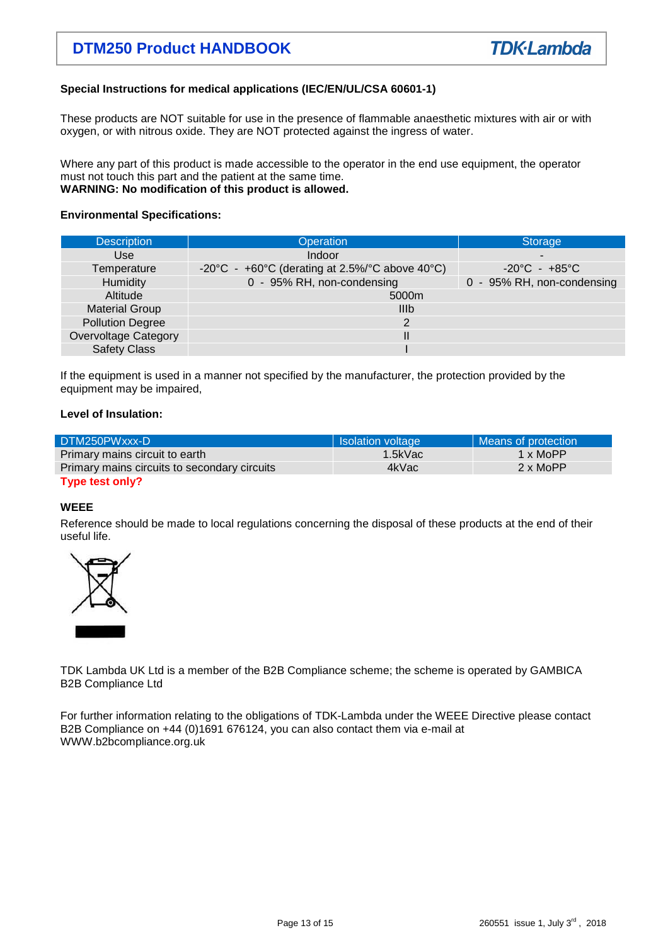# **DTM 250 Product HANDBOOK**

## **Special Instructions for medical applications (IEC/EN/UL/CSA 60601-1)**

These products are NOT suitable for use in the presence of flammable anaesthetic mixtures with air or with oxygen, or with nitrous oxide. They are NOT protected against the ingress of water.

Where any part of this product is made accessible to the operator in the end use equipment, the operator must not touch this part and the patient at the same time. **WARNING: No modification of this product is allowed.** 

## **Environmental Specifications:**

| <b>Description</b>          | <b>Operation</b>                                                                           | Storage                           |  |
|-----------------------------|--------------------------------------------------------------------------------------------|-----------------------------------|--|
| Use                         | <b>Indoor</b>                                                                              |                                   |  |
| Temperature                 | -20 $^{\circ}$ C - +60 $^{\circ}$ C (derating at 2.5%/ $^{\circ}$ C above 40 $^{\circ}$ C) | $-20^{\circ}$ C - $+85^{\circ}$ C |  |
| Humidity                    | 0 - 95% RH, non-condensing                                                                 | 0 - 95% RH, non-condensing        |  |
| Altitude                    | 5000m                                                                                      |                                   |  |
| <b>Material Group</b>       | IIIb                                                                                       |                                   |  |
| <b>Pollution Degree</b>     | 2                                                                                          |                                   |  |
| <b>Overvoltage Category</b> |                                                                                            |                                   |  |
| <b>Safety Class</b>         |                                                                                            |                                   |  |

If the equipment is used in a manner not specified by the manufacturer, the protection provided by the equipment may be impaired,

## **Level of Insulation:**

| DTM250PWxxx-D                                | Isolation voltage | Means of protection |
|----------------------------------------------|-------------------|---------------------|
| Primary mains circuit to earth               | 1.5kVac           | 1 x MoPP            |
| Primary mains circuits to secondary circuits | 4kVac             | 2 x MoPP            |
| Type test only?                              |                   |                     |

## **WEEE**

Reference should be made to local regulations concerning the disposal of these products at the end of their useful life.



TDK Lambda UK Ltd is a member of the B2B Compliance scheme; the scheme is operated by GAMBICA B2B Compliance Ltd

For further information relating to the obligations of TDK-Lambda under the WEEE Directive please contact B2B Compliance on +44 (0)1691 676124, you can also contact them via e-mail at WWW.b2bcompliance.org.uk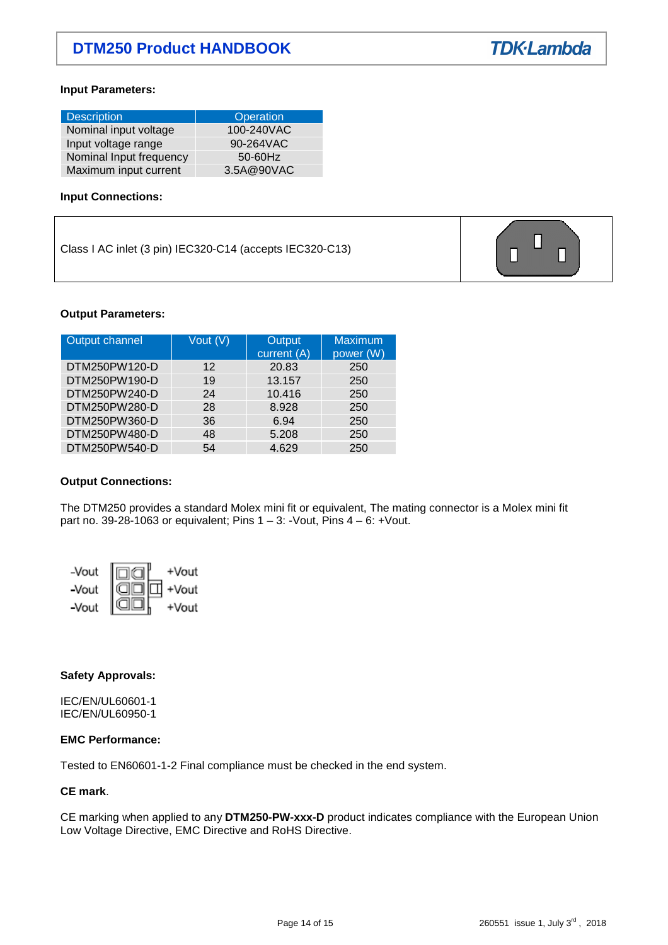## **Input Parameters:**

| <b>Description</b>      | Operation  |  |  |
|-------------------------|------------|--|--|
| Nominal input voltage   | 100-240VAC |  |  |
| Input voltage range     | 90-264VAC  |  |  |
| Nominal Input frequency | $50-60$ Hz |  |  |
| Maximum input current   | 3.5A@90VAC |  |  |

## **Input Connections:**

Class I AC inlet (3 pin) IEC320-C14 (accepts IEC320-C13)



## **Output Parameters:**

| Output channel | Vout (V) | Output<br>current (A) | Maximum<br>power (W) |
|----------------|----------|-----------------------|----------------------|
| DTM250PW120-D  | 12       | 20.83                 | 250                  |
| DTM250PW190-D  | 19       | 13.157                | 250                  |
| DTM250PW240-D  | 24       | 10.416                | 250                  |
| DTM250PW280-D  | 28       | 8.928                 | 250                  |
| DTM250PW360-D  | 36       | 6.94                  | 250                  |
| DTM250PW480-D  | 48       | 5.208                 | 250                  |
| DTM250PW540-D  | 54       | 4.629                 | 250                  |

## **Output Connections:**

The DTM250 provides a standard Molex mini fit or equivalent, The mating connector is a Molex mini fit part no. 39-28-1063 or equivalent; Pins 1 – 3: -Vout, Pins 4 – 6: +Vout.



## **Safety Approvals:**

IEC/EN/UL60601-1 IEC/EN/UL60950-1

## **EMC Performance:**

Tested to EN60601-1-2 Final compliance must be checked in the end system.

## **CE mark**.

CE marking when applied to any **DTM250-PW-xxx-D** product indicates compliance with the European Union Low Voltage Directive, EMC Directive and RoHS Directive.